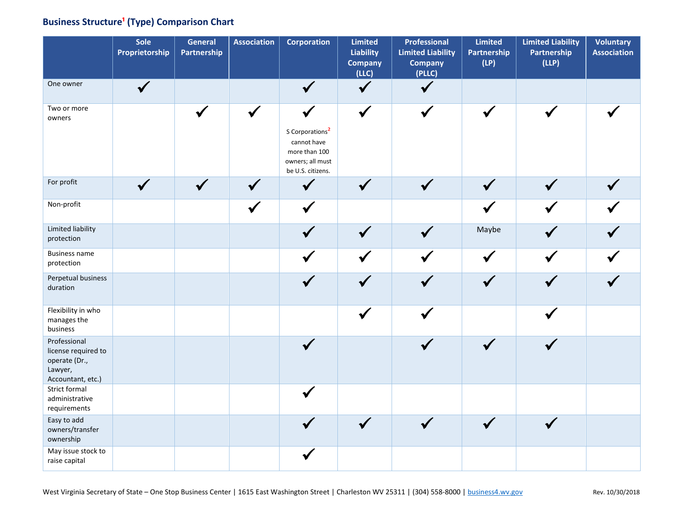## **Business Structure<sup>1</sup> (Type) Comparison Chart**

|                                                                                      | Sole<br>Proprietorship | <b>General</b><br>Partnership | <b>Association</b> | <b>Corporation</b>                                                                                                   | <b>Limited</b><br>Liability<br><b>Company</b><br>(LLC) | Professional<br><b>Limited Liability</b><br><b>Company</b><br>(PLLC) | <b>Limited</b><br><b>Partnership</b><br>(LP) | <b>Limited Liability</b><br>Partnership<br>(LLP) | <b>Voluntary</b><br><b>Association</b> |
|--------------------------------------------------------------------------------------|------------------------|-------------------------------|--------------------|----------------------------------------------------------------------------------------------------------------------|--------------------------------------------------------|----------------------------------------------------------------------|----------------------------------------------|--------------------------------------------------|----------------------------------------|
| One owner                                                                            | $\checkmark$           |                               |                    | $\checkmark$                                                                                                         | $\checkmark$                                           | $\hat{\mathbf{v}}$                                                   |                                              |                                                  |                                        |
| Two or more<br>owners                                                                |                        |                               |                    | $\checkmark$<br>S Corporations <sup>2</sup><br>cannot have<br>more than 100<br>owners; all must<br>be U.S. citizens. | $\checkmark$                                           |                                                                      |                                              |                                                  |                                        |
| For profit                                                                           | $\checkmark$           | $\checkmark$                  |                    | $\checkmark$                                                                                                         |                                                        | $\checkmark$                                                         | $\checkmark$                                 |                                                  |                                        |
| Non-profit                                                                           |                        |                               |                    | $\checkmark$                                                                                                         |                                                        |                                                                      |                                              |                                                  |                                        |
| Limited liability<br>protection                                                      |                        |                               |                    |                                                                                                                      |                                                        |                                                                      | Maybe                                        |                                                  |                                        |
| <b>Business name</b><br>protection                                                   |                        |                               |                    |                                                                                                                      |                                                        |                                                                      | ✔                                            |                                                  |                                        |
| Perpetual business<br>duration                                                       |                        |                               |                    |                                                                                                                      |                                                        |                                                                      |                                              |                                                  |                                        |
| Flexibility in who<br>manages the<br>business                                        |                        |                               |                    |                                                                                                                      |                                                        |                                                                      |                                              |                                                  |                                        |
| Professional<br>license required to<br>operate (Dr.,<br>Lawyer,<br>Accountant, etc.) |                        |                               |                    |                                                                                                                      |                                                        |                                                                      |                                              |                                                  |                                        |
| <b>Strict formal</b><br>administrative<br>requirements                               |                        |                               |                    |                                                                                                                      |                                                        |                                                                      |                                              |                                                  |                                        |
| Easy to add<br>owners/transfer<br>ownership                                          |                        |                               |                    |                                                                                                                      |                                                        |                                                                      |                                              |                                                  |                                        |
| May issue stock to<br>raise capital                                                  |                        |                               |                    |                                                                                                                      |                                                        |                                                                      |                                              |                                                  |                                        |